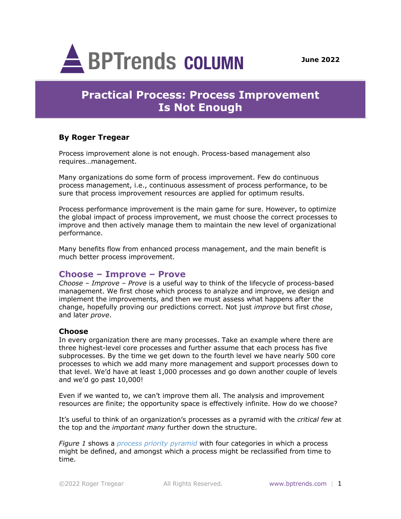

# **Practical Process: Process Improvement Is Not Enough**

## **By Roger Tregear**

Process improvement alone is not enough. Process-based management also requires…management.

Many organizations do some form of process improvement. Few do continuous process management, i.e., continuous assessment of process performance, to be sure that process improvement resources are applied for optimum results.

Process performance improvement is the main game for sure. However, to optimize the global impact of process improvement, we must choose the correct processes to improve and then actively manage them to maintain the new level of organizational performance.

Many benefits flow from enhanced process management, and the main benefit is much better process improvement.

## **Choose – Improve – Prove**

*Choose – Improve – Prove* is a useful way to think of the lifecycle of process-based management. We first chose which process to analyze and improve, we design and implement the improvements, and then we must assess what happens after the change, hopefully proving our predictions correct. Not just *improve* but first *chose*, and later *prove*.

#### **Choose**

In every organization there are many processes. Take an example where there are three highest-level core processes and further assume that each process has five subprocesses. By the time we get down to the fourth level we have nearly 500 core processes to which we add many more management and support processes down to that level. We'd have at least 1,000 processes and go down another couple of levels and we'd go past 10,000!

Even if we wanted to, we can't improve them all. The analysis and improvement resources are finite; the opportunity space is effectively infinite. How do we choose?

It's useful to think of an organization's processes as a pyramid with the *critical few* at the top and the *important many* further down the structure.

*Figure 1* shows a *process priority pyramid* with four categories in which a process might be defined, and amongst which a process might be reclassified from time to time.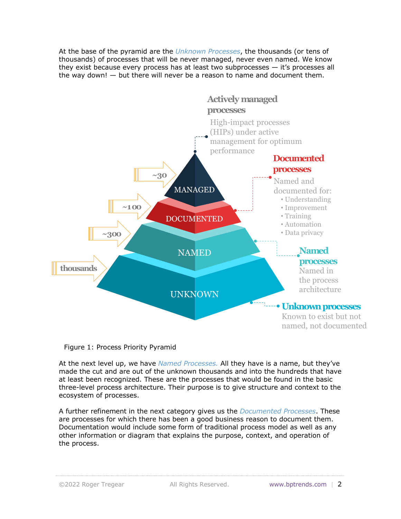At the base of the pyramid are the *Unknown Processes*, the thousands (or tens of thousands) of processes that will be never managed, never even named. We know they exist because every process has at least two subprocesses — it's processes all the way down! — but there will never be a reason to name and document them.



#### Figure 1: Process Priority Pyramid

At the next level up, we have *Named Processes.* All they have is a name, but they've made the cut and are out of the unknown thousands and into the hundreds that have at least been recognized. These are the processes that would be found in the basic three-level process architecture. Their purpose is to give structure and context to the ecosystem of processes.

A further refinement in the next category gives us the *Documented Processes*. These are processes for which there has been a good business reason to document them. Documentation would include some form of traditional process model as well as any other information or diagram that explains the purpose, context, and operation of the process.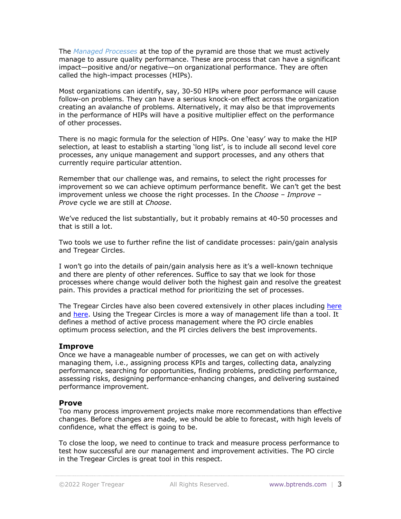The *Managed Processes* at the top of the pyramid are those that we must actively manage to assure quality performance. These are process that can have a significant impact—positive and/or negative—on organizational performance. They are often called the high-impact processes (HIPs).

Most organizations can identify, say, 30-50 HIPs where poor performance will cause follow-on problems. They can have a serious knock-on effect across the organization creating an avalanche of problems. Alternatively, it may also be that improvements in the performance of HIPs will have a positive multiplier effect on the performance of other processes.

There is no magic formula for the selection of HIPs. One 'easy' way to make the HIP selection, at least to establish a starting 'long list', is to include all second level core processes, any unique management and support processes, and any others that currently require particular attention.

Remember that our challenge was, and remains, to select the right processes for improvement so we can achieve optimum performance benefit. We can't get the best improvement unless we choose the right processes. In the *Choose – Improve – Prove* cycle we are still at *Choose*.

We've reduced the list substantially, but it probably remains at 40-50 processes and that is still a lot.

Two tools we use to further refine the list of candidate processes: pain/gain analysis and Tregear Circles.

I won't go into the details of pain/gain analysis here as it's a well-known technique and there are plenty of other references. Suffice to say that we look for those processes where change would deliver both the highest gain and resolve the greatest pain. This provides a practical method for prioritizing the set of processes.

The Tregear Circles have also been covered extensively in other places including here and here. Using the Tregear Circles is more a way of management life than a tool. It defines a method of active process management where the PO circle enables optimum process selection, and the PI circles delivers the best improvements.

### **Improve**

Once we have a manageable number of processes, we can get on with actively managing them, i.e., assigning process KPIs and targes, collecting data, analyzing performance, searching for opportunities, finding problems, predicting performance, assessing risks, designing performance-enhancing changes, and delivering sustained performance improvement.

#### **Prove**

Too many process improvement projects make more recommendations than effective changes. Before changes are made, we should be able to forecast, with high levels of confidence, what the effect is going to be.

To close the loop, we need to continue to track and measure process performance to test how successful are our management and improvement activities. The PO circle in the Tregear Circles is great tool in this respect.